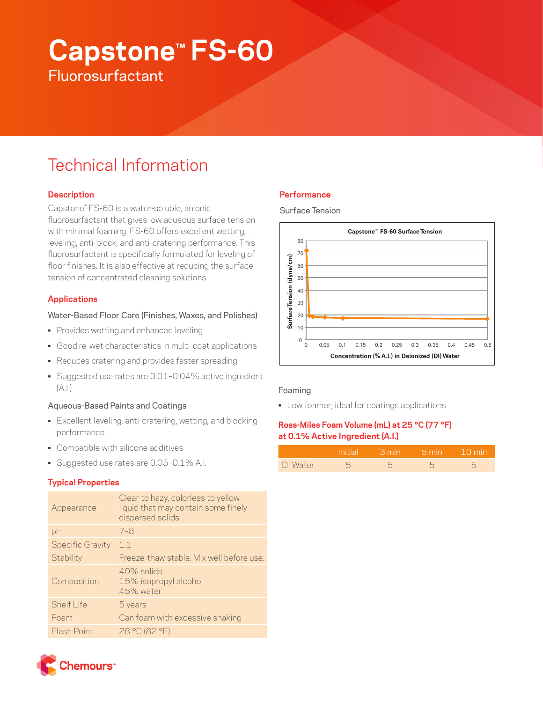# **Capstone™ FS-60 Fluorosurfactant**

# Technical Information

# **Description**

Capstone™ FS-60 is a water-soluble, anionic fluorosurfactant that gives low aqueous surface tension with minimal foaming. FS-60 offers excellent wetting, leveling, anti-block, and anti-cratering performance. This fluorosurfactant is specifically formulated for leveling of floor finishes. It is also effective at reducing the surface tension of concentrated cleaning solutions.

# **Applications**

## Water-Based Floor Care (Finishes, Waxes, and Polishes)

- Provides wetting and enhanced leveling
- Good re-wet characteristics in multi-coat applications
- Reduces cratering and provides faster spreading
- Suggested use rates are 0.01–0.04% active ingredient  $(A.1)$

### Aqueous-Based Paints and Coatings

- Excellent leveling, anti-cratering, wetting, and blocking performance
- Compatible with silicone additives
- Suggested use rates are 0.05–0.1% A.I.

#### **Typical Properties**

| Appearance              | Clear to hazy, colorless to yellow<br>liquid that may contain some finely<br>dispersed solids. |  |  |
|-------------------------|------------------------------------------------------------------------------------------------|--|--|
| pH                      | $7 - 8$                                                                                        |  |  |
| <b>Specific Gravity</b> | 1.1                                                                                            |  |  |
| Stability               | Freeze-thaw stable. Mix well before use.                                                       |  |  |
| Composition             | 40% solids<br>15% isopropyl alcohol<br>45% water                                               |  |  |
| Shelf I ife             | 5 years                                                                                        |  |  |
| Foam                    | Can foam with excessive shaking                                                                |  |  |
| Flash Point             | 28 °C (82 °F)                                                                                  |  |  |
|                         |                                                                                                |  |  |

# **Performance**

Surface Tension



#### Foaming

• Low foamer; ideal for coatings applications

# **Ross-Miles Foam Volume (mL) at 25 °C (77 °F) at 0.1% Active Ingredient (A.I.)**

|          | <b>Initial</b> | □ 3 min → | — 5 min − | $\sim$ 10 min |
|----------|----------------|-----------|-----------|---------------|
| DI Water |                |           |           |               |